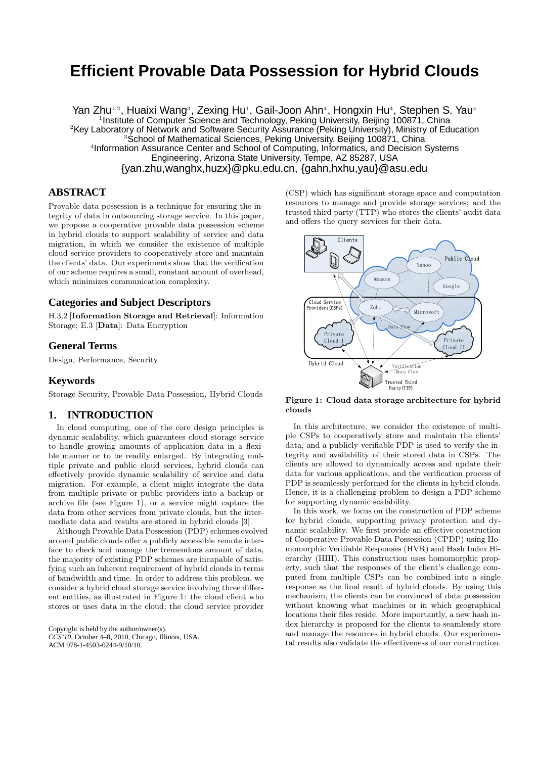# **Efficient Provable Data Possession for Hybrid Clouds**

Yan Zhu<sup>1,2</sup>, Huaixi Wang<sup>3</sup>, Zexing Hu<sup>1</sup>, Gail-Joon Ahn<sup>4</sup>, Hongxin Hu<sup>4</sup>, Stephen S. Yau<sup>4</sup> <sup>1</sup>Institute of Computer Science and Technology, Peking University, Beijing 100871, China <sup>2</sup>Key Laboratory of Network and Software Security Assurance (Peking University), Ministry of Education <sup>3</sup>School of Mathematical Sciences, Peking University, Beijing 100871, China 4 Information Assurance Center and School of Computing, Informatics, and Decision Systems Engineering, Arizona State University, Tempe, AZ 85287, USA {yan.zhu,wanghx,huzx}@pku.edu.cn, {gahn,hxhu,yau}@asu.edu

# **ABSTRACT**

Provable data possession is a technique for ensuring the integrity of data in outsourcing storage service. In this paper, we propose a cooperative provable data possession scheme in hybrid clouds to support scalability of service and data migration, in which we consider the existence of multiple cloud service providers to cooperatively store and maintain the clients' data. Our experiments show that the verification of our scheme requires a small, constant amount of overhead, which minimizes communication complexity.

# **Categories and Subject Descriptors**

H.3.2 [Information Storage and Retrieval]: Information Storage; E.3 [Data]: Data Encryption

# **General Terms**

Design, Performance, Security

#### **Keywords**

Storage Security, Provable Data Possession, Hybrid Clouds

### **1. INTRODUCTION**

In cloud computing, one of the core design principles is dynamic scalability, which guarantees cloud storage service to handle growing amounts of application data in a flexible manner or to be readily enlarged. By integrating multiple private and public cloud services, hybrid clouds can effectively provide dynamic scalability of service and data migration. For example, a client might integrate the data from multiple private or public providers into a backup or archive file (see Figure 1), or a service might capture the data from other services from private clouds, but the intermediate data and results are stored in hybrid clouds [3].

Although Provable Data Possession (PDP) schemes evolved around public clouds offer a publicly accessible remote interface to check and manage the tremendous amount of data, the majority of existing PDP schemes are incapable of satisfying such an inherent requirement of hybrid clouds in terms of bandwidth and time. In order to address this problem, we consider a hybrid cloud storage service involving three different entities, as illustrated in Figure 1: the cloud client who stores or uses data in the cloud; the cloud service provider

Copyright is held by the author/owner(s). *CCS'10,* October 4–8, 2010, Chicago, Illinois, USA. ACM 978-1-4503-0244-9/10/10.

(CSP) which has significant storage space and computation resources to manage and provide storage services; and the trusted third party (TTP) who stores the clients' audit data and  $\alpha^{m}$  the query services for their data.



Figure 1: Cloud data storage architecture for hybrid clouds

In this architecture, we consider the existence of multiple CSPs to cooperatively store and maintain the clients' data, and a publicly verifiable PDP is used to verify the integrity and availability of their stored data in CSPs. The clients are allowed to dynamically access and update their data for various applications, and the verification process of PDP is seamlessly performed for the clients in hybrid clouds. Hence, it is a challenging problem to design a PDP scheme for supporting dynamic scalability.

In this work, we focus on the construction of PDP scheme for hybrid clouds, supporting privacy protection and dynamic scalability. We first provide an effective construction of Cooperative Provable Data Possession (CPDP) using Homomorphic Verifiable Responses (HVR) and Hash Index Hierarchy (HIH). This construction uses homomorphic property, such that the responses of the client's challenge computed from multiple CSPs can be combined into a single response as the final result of hybrid clouds. By using this mechanism, the clients can be convinced of data possession without knowing what machines or in which geographical locations their files reside. More importantly, a new hash index hierarchy is proposed for the clients to seamlessly store and manage the resources in hybrid clouds. Our experimental results also validate the effectiveness of our construction.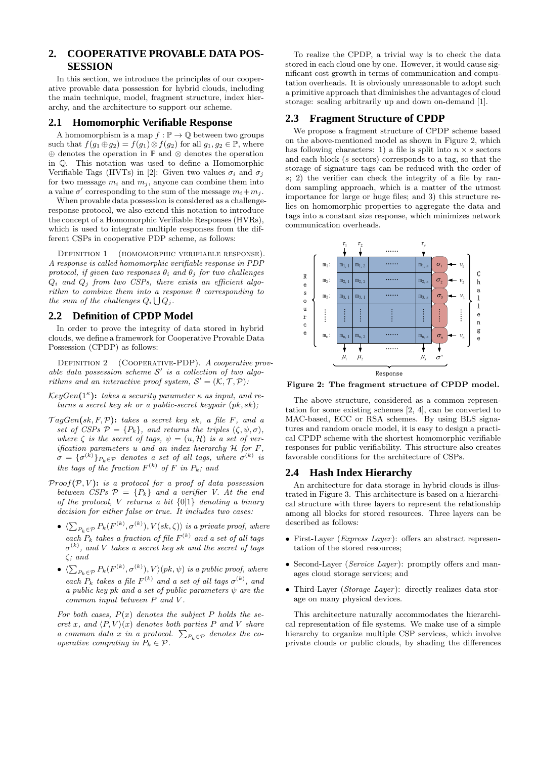# **2. COOPERATIVE PROVABLE DATA POS-SESSION**

In this section, we introduce the principles of our cooperative provable data possession for hybrid clouds, including the main technique, model, fragment structure, index hierarchy, and the architecture to support our scheme.

# **2.1 Homomorphic Verifiable Response**

A homomorphism is a map  $f : \mathbb{P} \to \mathbb{Q}$  between two groups such that  $f(g_1 \oplus g_2) = f(g_1) \otimes f(g_2)$  for all  $g_1, g_2 \in \mathbb{P}$ , where ⊕ denotes the operation in ℙ and ⊗ denotes the operation in ℚ. This notation was used to define a Homomorphic Verifiable Tags (HVTs) in [2]: Given two values  $\sigma_i$  and  $\sigma_j$ for two message  $m_i$  and  $m_j$ , anyone can combine them into a value  $\sigma'$  corresponding to the sum of the message  $m_i + m_j$ .

When provable data possession is considered as a challengeresponse protocol, we also extend this notation to introduce the concept of a Homomorphic Verifiable Responses (HVRs), which is used to integrate multiple responses from the different CSPs in cooperative PDP scheme, as follows:

DEFINITION 1 (HOMOMORPHIC VERIFIABLE RESPONSE). A response is called homomorphic verifiable response in PDP protocol, if given two responses  $\theta_i$  and  $\theta_j$  for two challenges  $Q_i$  and  $Q_j$  from two CSPs, there exists an efficient algorithm to combine them into a response  $\theta$  corresponding to the sum of the challenges  $Q_i \bigcup Q_j$ .

# **2.2 Definition of CPDP Model**

In order to prove the integrity of data stored in hybrid clouds, we define a framework for Cooperative Provable Data Possession (CPDP) as follows:

DEFINITION 2 (COOPERATIVE-PDP). A cooperative provable data possession scheme  $S'$  is a collection of two algorithms and an interactive proof system,  $\mathcal{S}' = (\mathcal{K}, \mathcal{T}, \mathcal{P})$ :

- $KeyGen(1<sup>\kappa</sup>)$ : takes a security parameter  $\kappa$  as input, and returns a secret key sk or a public-secret keypair  $(pk, sk)$ ;
- $TagGen(sk, F, P)$ : takes a secret key sk, a file  $F$ , and a set of CSPs  $\mathcal{P} = \{P_k\}$ , and returns the triples  $(\zeta, \psi, \sigma)$ , where  $\zeta$  is the secret of tags,  $\psi = (u, \mathcal{H})$  is a set of verification parameters  $u$  and an index hierarchy  $H$  for  $F$ ,  $\sigma = \{\sigma^{(k)}\}_{P_k \in \mathcal{P}}\,$  denotes a set of all tags, where  $\sigma^{(k)}$  is the tags of the fraction  $F^{(k)}$  of F in  $P_k$ ; and
- $Proof(P, V)$ : is a protocol for a proof of data possession between CSPs  $\mathcal{P} = \{P_k\}$  and a verifier V. At the end of the protocol, V returns a bit  $\{0|1\}$  denoting a binary decision for either false or true. It includes two cases:
	- $\bullet \ \langle \sum_{P_k \in \mathcal{P}} P_k(F^{(k)}, \sigma^{(k)}), V(sk, \zeta) \rangle$  is a private proof, where each  $P_k$  takes a fraction of file  $F^{(k)}$  and a set of all tags  $\sigma^{(k)}$ , and V takes a secret key sk and the secret of tags  $\zeta$ ; and
	- $\bullet \ \langle \sum_{P_k \in \mathcal{P}} P_k(F^{(k)}, \sigma^{(k)}), V \rangle (pk, \psi)$  is a public proof, where each  $P_k$  takes a file  $F^{(k)}$  and a set of all tags  $\sigma^{(k)}$ , and a public key pk and a set of public parameters  $\psi$  are the common input between  $P$  and  $V$ .

For both cases,  $P(x)$  denotes the subject  $P$  holds the secret x, and  $\langle P, V \rangle(x)$  denotes both parties P and V share a common data x in a protocol.  $\sum_{P_k \in \mathcal{P}}$  denotes the cooperative computing in  $P_k \in \mathcal{P}$ .

To realize the CPDP, a trivial way is to check the data stored in each cloud one by one. However, it would cause significant cost growth in terms of communication and computation overheads. It is obviously unreasonable to adopt such a primitive approach that diminishes the advantages of cloud storage: scaling arbitrarily up and down on-demand [1].

# **2.3 Fragment Structure of CPDP**

We propose a fragment structure of CPDP scheme based on the above-mentioned model as shown in Figure 2, which has following characters: 1) a file is split into  $n \times s$  sectors and each block (s sectors) corresponds to a tag, so that the storage of signature tags can be reduced with the order of  $s$ ; 2) the verifier can check the integrity of a file by random sampling approach, which is a matter of the utmost importance for large or huge files; and 3) this structure relies on homomorphic properties to aggregate the data and tags into a constant size response, which minimizes network communication overheads.



Figure 2: The fragment structure of CPDP model.

The above structure, considered as a common representation for some existing schemes [2, 4], can be converted to MAC-based, ECC or RSA schemes. By using BLS signatures and random oracle model, it is easy to design a practical CPDP scheme with the shortest homomorphic verifiable responses for public verifiability. This structure also creates favorable conditions for the architecture of CSPs.

### **2.4 Hash Index Hierarchy**

An architecture for data storage in hybrid clouds is illustrated in Figure 3. This architecture is based on a hierarchical structure with three layers to represent the relationship among all blocks for stored resources. Three layers can be described as follows:

- ∙ First-Layer (Express Layer): offers an abstract representation of the stored resources;
- ∙ Second-Layer (Service Layer): promptly offers and manages cloud storage services; and
- ∙ Third-Layer (Storage Layer): directly realizes data storage on many physical devices.

This architecture naturally accommodates the hierarchical representation of file systems. We make use of a simple hierarchy to organize multiple CSP services, which involve private clouds or public clouds, by shading the differences